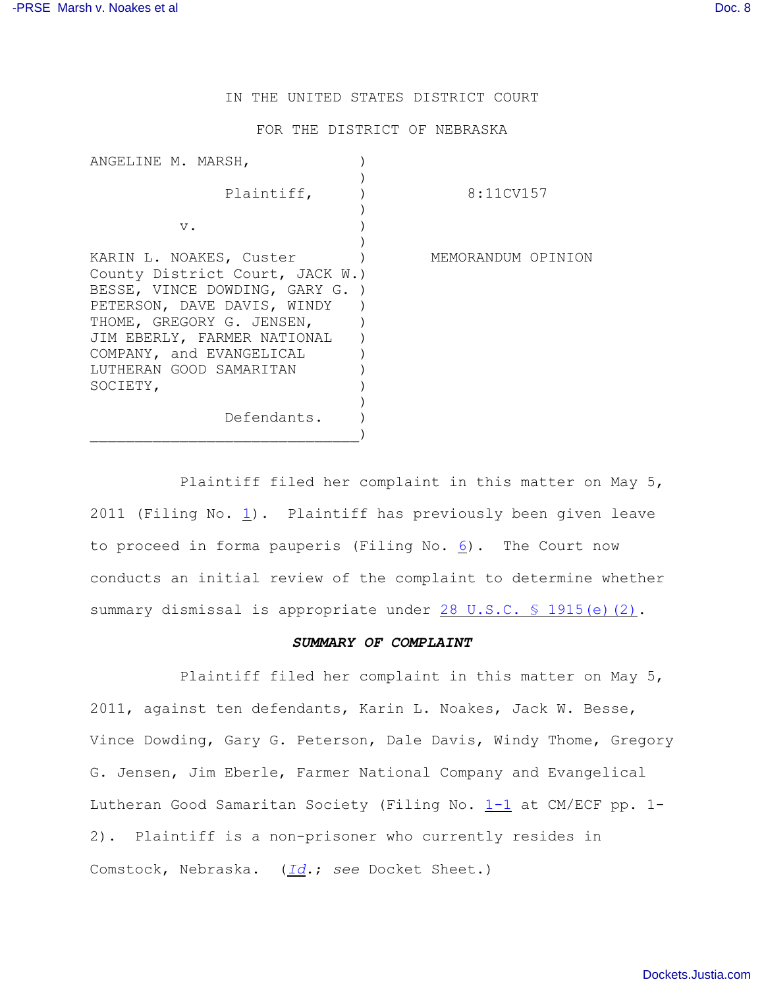IN THE UNITED STATES DISTRICT COURT

## FOR THE DISTRICT OF NEBRASKA

| ANGELINE M. MARSH,              |                    |           |  |
|---------------------------------|--------------------|-----------|--|
| Plaintiff,                      |                    | 8:11CV157 |  |
| $V$ .                           |                    |           |  |
|                                 |                    |           |  |
| KARIN L. NOAKES, Custer         | MEMORANDUM OPINION |           |  |
| County District Court, JACK W.) |                    |           |  |
| BESSE, VINCE DOWDING, GARY G. ) |                    |           |  |
| PETERSON, DAVE DAVIS, WINDY     |                    |           |  |
| THOME, GREGORY G. JENSEN,       |                    |           |  |
| JIM EBERLY, FARMER NATIONAL     |                    |           |  |
| COMPANY, and EVANGELICAL        |                    |           |  |
| LUTHERAN GOOD SAMARITAN         |                    |           |  |
| SOCIETY,                        |                    |           |  |
|                                 |                    |           |  |
| Defendants.                     |                    |           |  |
|                                 |                    |           |  |

Plaintiff filed her complaint in this matter on May 5, 2011 (Filing No.  $\underline{1}$ ). Plaintiff has previously been given leave to proceed in forma pauperis (Filing No. [6](http://ecf.ned.uscourts.gov/doc1/11302270163)). The Court now conducts an initial review of the complaint to determine whether summary dismissal is appropriate under [28 U.S.C. § 1915\(e\)\(2\)](http://www.westlaw.com/find/default.wl?rs=CLWP3.0&vr=2.0&cite=28+USCA+s+1915%28e%29%282%29).

## *SUMMARY OF COMPLAINT*

Plaintiff filed her complaint in this matter on May 5, 2011, against ten defendants, Karin L. Noakes, Jack W. Besse, Vince Dowding, Gary G. Peterson, Dale Davis, Windy Thome, Gregory G. Jensen, Jim Eberle, Farmer National Company and Evangelical Lutheran Good Samaritan Society (Filing No. [1-1](https://ecf.ned.uscourts.gov/doc1/11312270156) at CM/ECF pp. 1- 2). Plaintiff is a non-prisoner who currently resides in Comstock, Nebraska. (*[Id](https://ecf.ned.uscourts.gov/doc1/11312270156).*; *see* Docket Sheet.)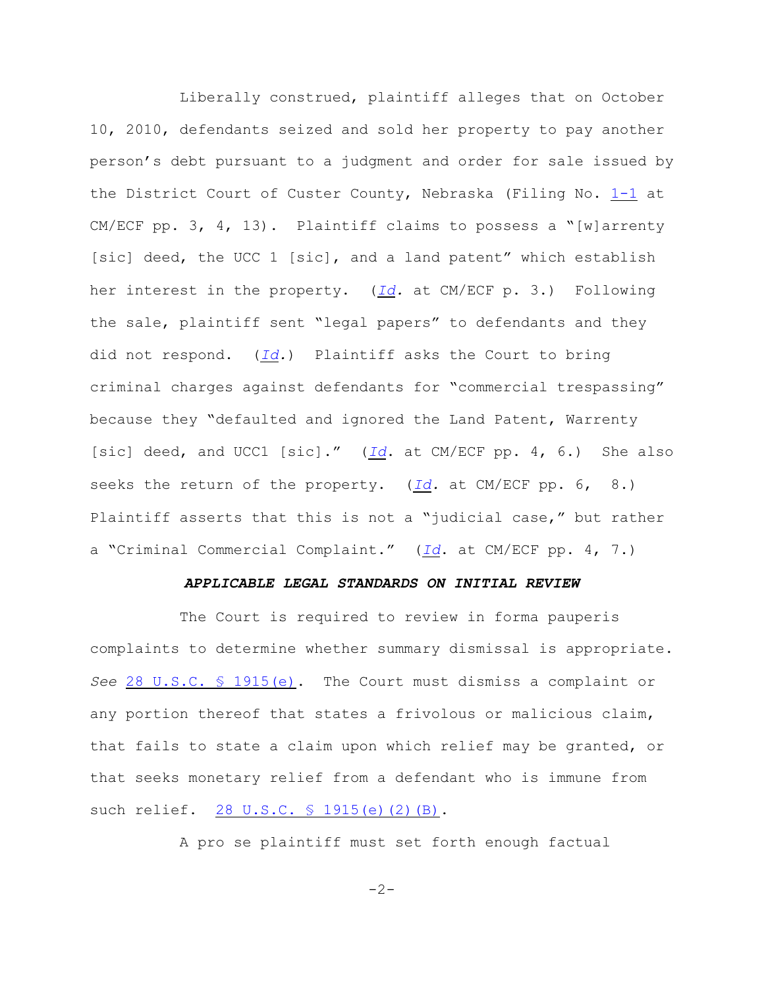Liberally construed, plaintiff alleges that on October 10, 2010, defendants seized and sold her property to pay another person's debt pursuant to a judgment and order for sale issued by the District Court of Custer County, Nebraska (Filing No. [1-1](https://ecf.ned.uscourts.gov/doc1/11312270156) at  $CM/ECF$  pp. 3, 4, 13). Plaintiff claims to possess a "[w]arrenty [sic] deed, the UCC 1 [sic], and a land patent" which establish her interest in the property. (*[Id](https://ecf.ned.uscourts.gov/doc1/11312270156).* at CM/ECF p. 3.) Following the sale, plaintiff sent "legal papers" to defendants and they did not respond. (*[Id](https://ecf.ned.uscourts.gov/doc1/11312270156).*) Plaintiff asks the Court to bring criminal charges against defendants for "commercial trespassing" because they "defaulted and ignored the Land Patent, Warrenty [sic] deed, and UCC1 [sic]." (*[Id](https://ecf.ned.uscourts.gov/doc1/11312270156)*. at CM/ECF pp. 4, 6.) She also seeks the return of the property. (*[Id](https://ecf.ned.uscourts.gov/doc1/11312270156).* at CM/ECF pp. 6, 8.) Plaintiff asserts that this is not a "judicial case," but rather a "Criminal Commercial Complaint." (*[Id](https://ecf.ned.uscourts.gov/doc1/11312270156)*. at CM/ECF pp. 4, 7.)

## *APPLICABLE LEGAL STANDARDS ON INITIAL REVIEW*

The Court is required to review in forma pauperis complaints to determine whether summary dismissal is appropriate. *See* [28 U.S.C. § 1915\(e\)](http://www.westlaw.com/find/default.wl?rs=CLWP3.0&vr=2.0&cite=28+USCA+s+1915%28e%29). The Court must dismiss a complaint or any portion thereof that states a frivolous or malicious claim, that fails to state a claim upon which relief may be granted, or that seeks monetary relief from a defendant who is immune from such relief. [28 U.S.C. § 1915\(e\)\(2\)\(B\)](http://www.westlaw.com/find/default.wl?rs=CLWP3.0&vr=2.0&cite=28+USCA+s+1915%28e%29%282%29%28B%29).

A pro se plaintiff must set forth enough factual

 $-2-$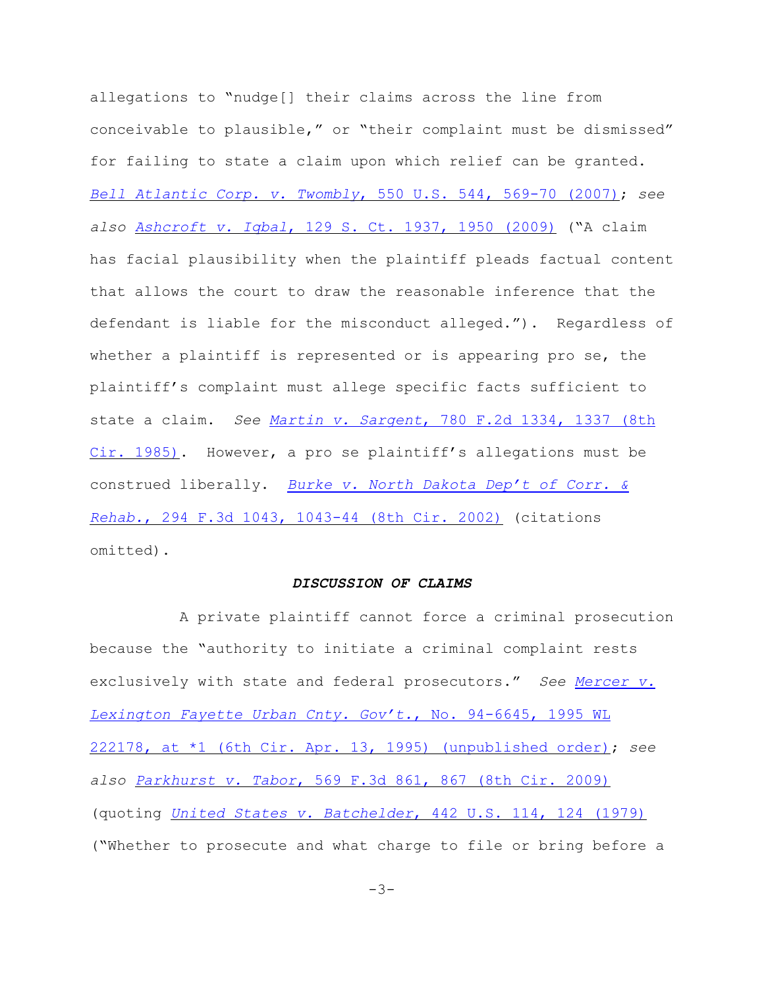allegations to "nudge[] their claims across the line from conceivable to plausible," or "their complaint must be dismissed" for failing to state a claim upon which relief can be granted. *[Bell Atlantic Corp. v. Twombly](http://www.westlaw.com/find/default.wl?rs=CLWP3.0&vr=2.0&cite=550+U.S.+544)*, 550 U.S. 544, 569-70 (2007); *see also Ashcroft v. Iqbal*[, 129 S. Ct. 1937, 1950 \(2009\)](http://www.westlaw.com/find/default.wl?rs=CLWP3.0&vr=2.0&cite=129+S.Ct.+1937) ("A claim has facial plausibility when the plaintiff pleads factual content that allows the court to draw the reasonable inference that the defendant is liable for the misconduct alleged."). Regardless of whether a plaintiff is represented or is appearing pro se, the plaintiff's complaint must allege specific facts sufficient to state a claim. *See Martin v. Sargent*[, 780 F.2d 1334, 1337 \(8th](http://www.westlaw.com/find/default.wl?rs=CLWP3.0&vr=2.0&cite=780+F.2d+1334) [Cir. 1985\)](http://www.westlaw.com/find/default.wl?rs=CLWP3.0&vr=2.0&cite=780+F.2d+1334). However, a pro se plaintiff's allegations must be construed liberally. *[Burke v. North Dakota Dep't of Corr. &](http://www.westlaw.com/find/default.wl?rs=CLWP3.0&vr=2.0&cite=294+F.3d+1043) Rehab.*[, 294 F.3d 1043, 1043-44 \(8th Cir. 2002\)](http://www.westlaw.com/find/default.wl?rs=CLWP3.0&vr=2.0&cite=294+F.3d+1043) (citations omitted).

## *DISCUSSION OF CLAIMS*

A private plaintiff cannot force a criminal prosecution because the "authority to initiate a criminal complaint rests exclusively with state and federal prosecutors." *See [Mercer v.](http://www.westlaw.com/find/default.wl?rs=CLWP3.0&vr=2.0&cite=1995+WL+222178) [Lexington Fayette Urban Cnty. Gov't.](http://www.westlaw.com/find/default.wl?rs=CLWP3.0&vr=2.0&cite=1995+WL+222178)*, No. 94-6645, 1995 WL [222178, at \\*1 \(6th Cir. Apr. 13, 1995\) \(unpublished order\)](http://www.westlaw.com/find/default.wl?rs=CLWP3.0&vr=2.0&cite=1995+WL+222178); *see also Parkhurst v. Tabor*[, 569 F.3d 861, 867 \(8th Cir. 2009\)](http://www.westlaw.com/find/default.wl?rs=CLWP3.0&vr=2.0&cite=569+F.3d+861) (quoting *[United States v. Batchelder](http://www.westlaw.com/find/default.wl?rs=CLWP3.0&vr=2.0&cite=442+U.S.+114)*, 442 U.S. 114, 124 (1979) ("Whether to prosecute and what charge to file or bring before a

 $-3-$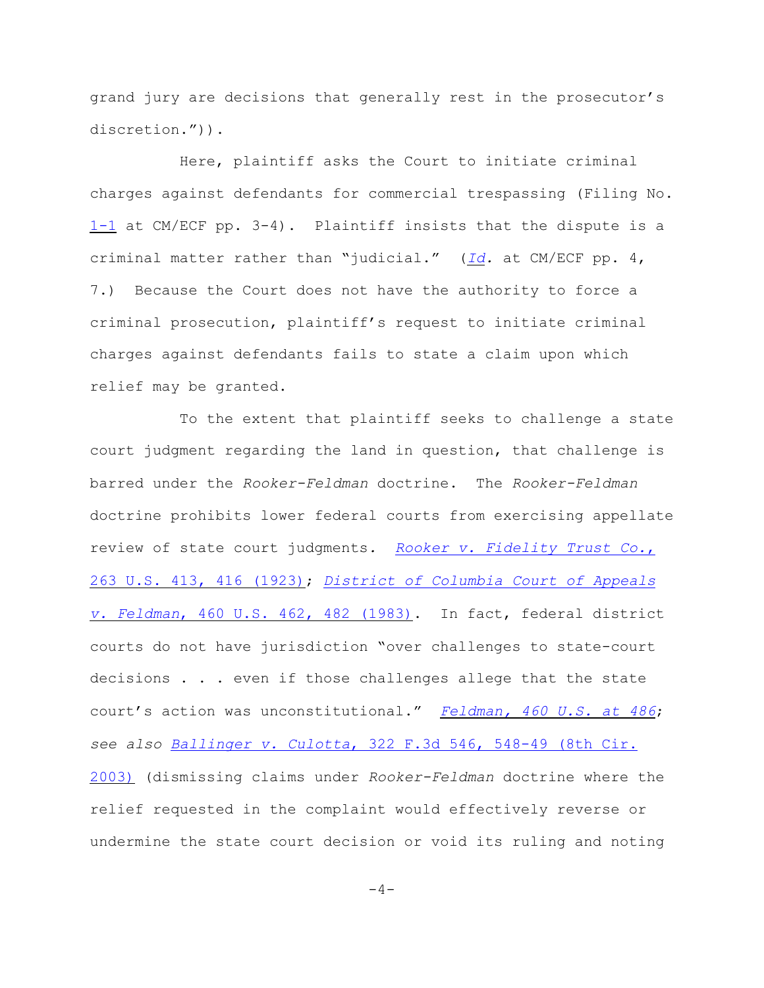grand jury are decisions that generally rest in the prosecutor's discretion.")).

Here, plaintiff asks the Court to initiate criminal charges against defendants for commercial trespassing (Filing No. [1-1](https://ecf.ned.uscourts.gov/doc1/11312270156) at CM/ECF pp. 3-4). Plaintiff insists that the dispute is a criminal matter rather than "judicial." (*[Id](https://ecf.ned.uscourts.gov/doc1/11312270156).* at CM/ECF pp. 4, 7.) Because the Court does not have the authority to force a criminal prosecution, plaintiff's request to initiate criminal charges against defendants fails to state a claim upon which relief may be granted.

To the extent that plaintiff seeks to challenge a state court judgment regarding the land in question, that challenge is barred under the *Rooker-Feldman* doctrine. The *Rooker-Feldman* doctrine prohibits lower federal courts from exercising appellate review of state court judgments*. [Rooker v. Fidelity Trust Co.](http://www.westlaw.com/find/default.wl?rs=CLWP3.0&vr=2.0&cite=263+U.S.+413)*, [263 U.S. 413, 416 \(1923\)](http://www.westlaw.com/find/default.wl?rs=CLWP3.0&vr=2.0&cite=263+U.S.+413); *[District of Columbia Court of Appeals](http://www.westlaw.com/find/default.wl?rs=CLWP3.0&vr=2.0&cite=460+U.S.+462) v. Feldman*[, 460 U.S. 462, 482 \(1983\)](http://www.westlaw.com/find/default.wl?rs=CLWP3.0&vr=2.0&cite=460+U.S.+462). In fact, federal district courts do not have jurisdiction "over challenges to state-court decisions . . . even if those challenges allege that the state court's action was unconstitutional." *[Feldman, 460 U.S. at 486](http://www.westlaw.com/find/default.wl?rs=CLWP3.0&vr=2.0&cite=460+U.S.+486)*; *see also Ballinger v. Culotta*[, 322 F.3d 546, 548-49 \(8th Cir.](http://www.westlaw.com/find/default.wl?rs=CLWP3.0&vr=2.0&cite=322+F.3d+546) [2003\)](http://www.westlaw.com/find/default.wl?rs=CLWP3.0&vr=2.0&cite=322+F.3d+546) (dismissing claims under *Rooker-Feldman* doctrine where the relief requested in the complaint would effectively reverse or undermine the state court decision or void its ruling and noting

 $-4-$